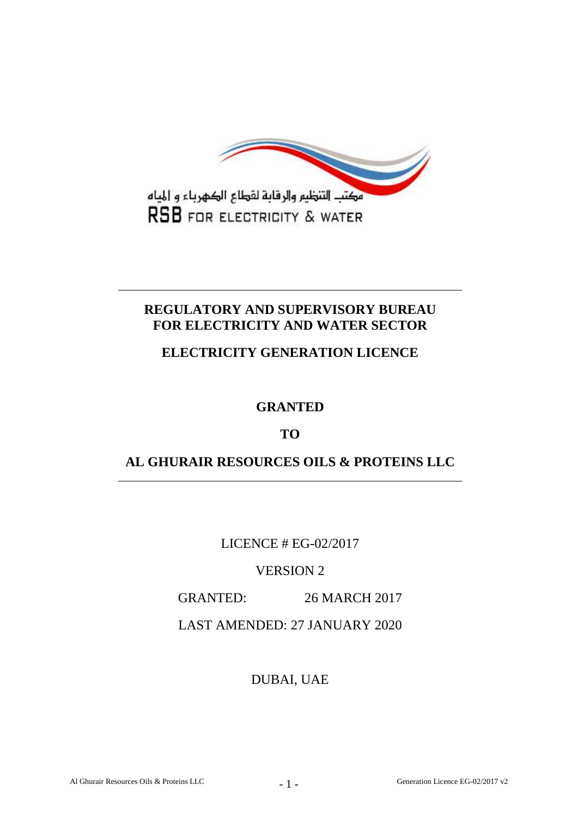

# **REGULATORY AND SUPERVISORY BUREAU FOR ELECTRICITY AND WATER SECTOR**

**ELECTRICITY GENERATION LICENCE**

**GRANTED**

**TO**

**AL GHURAIR RESOURCES OILS & PROTEINS LLC**

LICENCE # EG-02/2017

VERSION 2

GRANTED: 26 MARCH 2017

LAST AMENDED: 27 JANUARY 2020

DUBAI, UAE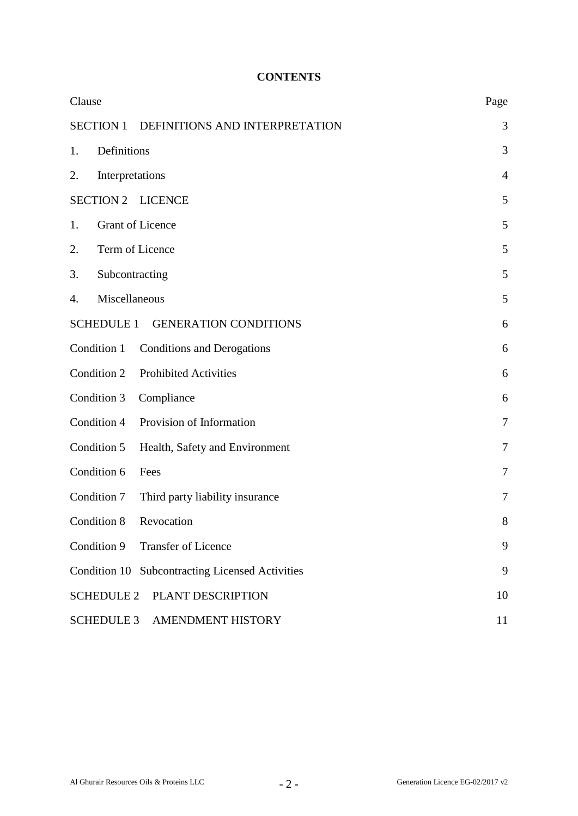## **CONTENTS**

| Clause                                             | Page           |
|----------------------------------------------------|----------------|
| <b>SECTION 1</b><br>DEFINITIONS AND INTERPRETATION | 3              |
| Definitions<br>1.                                  | 3              |
| Interpretations<br>2.                              | $\overline{4}$ |
| <b>SECTION 2</b><br><b>LICENCE</b>                 | 5              |
| <b>Grant of Licence</b><br>1.                      | 5              |
| Term of Licence<br>2.                              | 5              |
| 3.<br>Subcontracting                               | 5              |
| Miscellaneous<br>4.                                | 5              |
| <b>SCHEDULE 1</b><br><b>GENERATION CONDITIONS</b>  | 6              |
| Condition 1<br><b>Conditions and Derogations</b>   | 6              |
| Condition 2<br><b>Prohibited Activities</b>        | 6              |
| Condition 3<br>Compliance                          | 6              |
| Provision of Information<br>Condition 4            | $\tau$         |
| Condition 5<br>Health, Safety and Environment      | 7              |
| Condition 6<br>Fees                                | 7              |
| Condition 7<br>Third party liability insurance     | 7              |
| Condition 8<br>Revocation                          | 8              |
| Condition 9 Transfer of Licence                    | 9              |
| Condition 10 Subcontracting Licensed Activities    | 9              |
| PLANT DESCRIPTION<br><b>SCHEDULE 2</b>             | 10             |
| SCHEDULE 3 AMENDMENT HISTORY                       | 11             |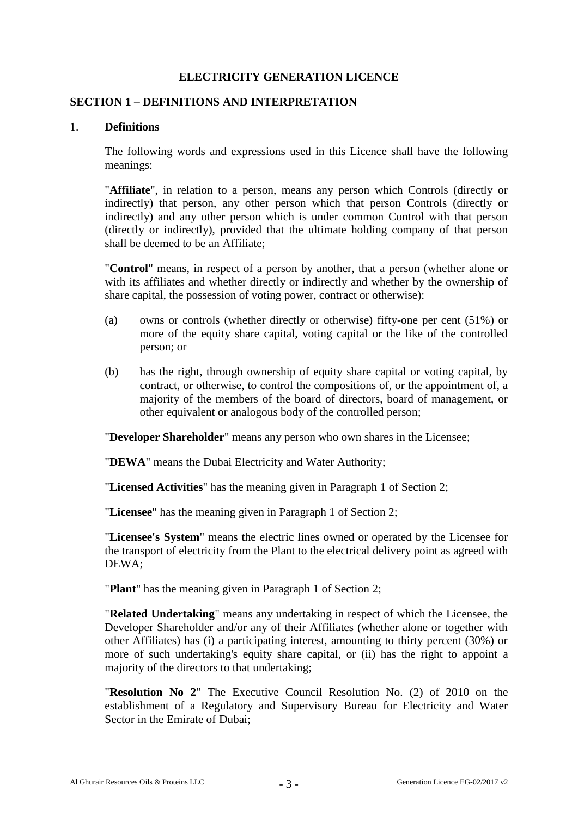## **ELECTRICITY GENERATION LICENCE**

#### **SECTION 1 – DEFINITIONS AND INTERPRETATION**

#### 1. **Definitions**

The following words and expressions used in this Licence shall have the following meanings:

"**Affiliate**", in relation to a person, means any person which Controls (directly or indirectly) that person, any other person which that person Controls (directly or indirectly) and any other person which is under common Control with that person (directly or indirectly), provided that the ultimate holding company of that person shall be deemed to be an Affiliate;

"**Control**" means, in respect of a person by another, that a person (whether alone or with its affiliates and whether directly or indirectly and whether by the ownership of share capital, the possession of voting power, contract or otherwise):

- (a) owns or controls (whether directly or otherwise) fifty-one per cent (51%) or more of the equity share capital, voting capital or the like of the controlled person; or
- (b) has the right, through ownership of equity share capital or voting capital, by contract, or otherwise, to control the compositions of, or the appointment of, a majority of the members of the board of directors, board of management, or other equivalent or analogous body of the controlled person;

"**Developer Shareholder**" means any person who own shares in the Licensee;

"**DEWA**" means the Dubai Electricity and Water Authority;

"**Licensed Activities**" has the meaning given in Paragraph 1 of Section 2;

"**Licensee**" has the meaning given in Paragraph 1 of Section 2;

"**Licensee's System**" means the electric lines owned or operated by the Licensee for the transport of electricity from the Plant to the electrical delivery point as agreed with DEWA;

"**Plant**" has the meaning given in Paragraph 1 of Section 2;

"**Related Undertaking**" means any undertaking in respect of which the Licensee, the Developer Shareholder and/or any of their Affiliates (whether alone or together with other Affiliates) has (i) a participating interest, amounting to thirty percent (30%) or more of such undertaking's equity share capital, or (ii) has the right to appoint a majority of the directors to that undertaking;

"**Resolution No 2**" The Executive Council Resolution No. (2) of 2010 on the establishment of a Regulatory and Supervisory Bureau for Electricity and Water Sector in the Emirate of Dubai;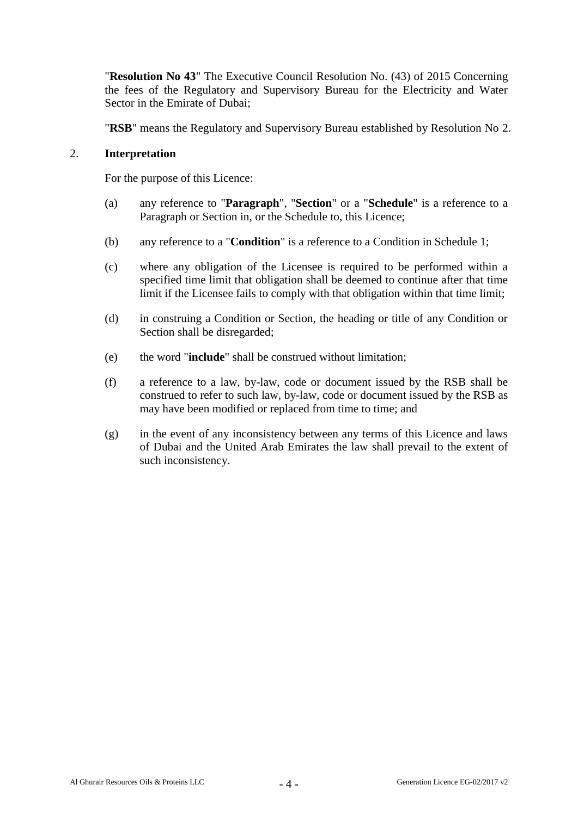"**Resolution No 43**" The Executive Council Resolution No. (43) of 2015 Concerning the fees of the Regulatory and Supervisory Bureau for the Electricity and Water Sector in the Emirate of Dubai:

"**RSB**" means the Regulatory and Supervisory Bureau established by Resolution No 2.

#### 2. **Interpretation**

For the purpose of this Licence:

- (a) any reference to "**Paragraph**", "**Section**" or a "**Schedule**" is a reference to a Paragraph or Section in, or the Schedule to, this Licence;
- (b) any reference to a "**Condition**" is a reference to a Condition in Schedule 1;
- (c) where any obligation of the Licensee is required to be performed within a specified time limit that obligation shall be deemed to continue after that time limit if the Licensee fails to comply with that obligation within that time limit;
- (d) in construing a Condition or Section, the heading or title of any Condition or Section shall be disregarded;
- (e) the word "**include**" shall be construed without limitation;
- (f) a reference to a law, by-law, code or document issued by the RSB shall be construed to refer to such law, by-law, code or document issued by the RSB as may have been modified or replaced from time to time; and
- (g) in the event of any inconsistency between any terms of this Licence and laws of Dubai and the United Arab Emirates the law shall prevail to the extent of such inconsistency.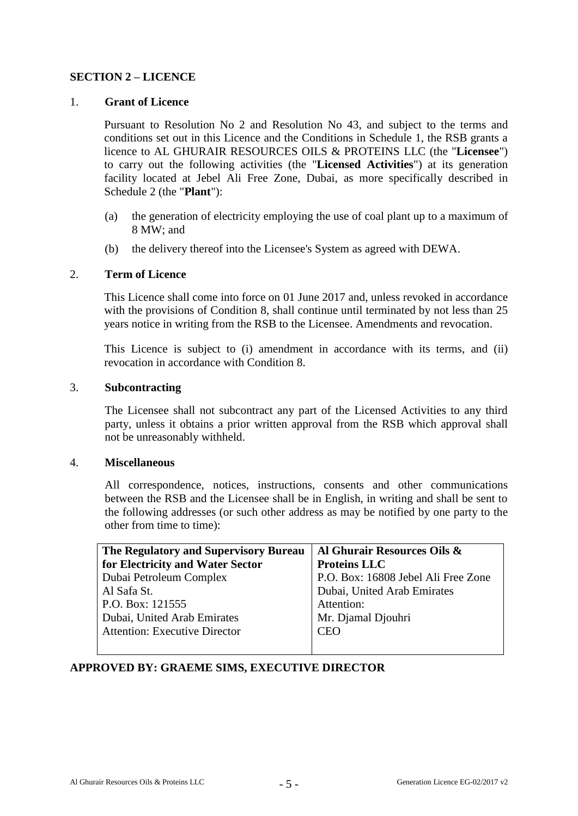## **SECTION 2 – LICENCE**

## 1. **Grant of Licence**

Pursuant to Resolution No 2 and Resolution No 43, and subject to the terms and conditions set out in this Licence and the Conditions in Schedule 1, the RSB grants a licence to AL GHURAIR RESOURCES OILS & PROTEINS LLC (the "**Licensee**") to carry out the following activities (the "**Licensed Activities**") at its generation facility located at Jebel Ali Free Zone, Dubai, as more specifically described in Schedule 2 (the "**Plant**"):

- (a) the generation of electricity employing the use of coal plant up to a maximum of 8 MW; and
- (b) the delivery thereof into the Licensee's System as agreed with DEWA.

## 2. **Term of Licence**

This Licence shall come into force on 01 June 2017 and, unless revoked in accordance with the provisions of Condition 8, shall continue until terminated by not less than 25 years notice in writing from the RSB to the Licensee. Amendments and revocation.

This Licence is subject to (i) amendment in accordance with its terms, and (ii) revocation in accordance with Condition 8.

#### 3. **Subcontracting**

The Licensee shall not subcontract any part of the Licensed Activities to any third party, unless it obtains a prior written approval from the RSB which approval shall not be unreasonably withheld.

#### 4. **Miscellaneous**

All correspondence, notices, instructions, consents and other communications between the RSB and the Licensee shall be in English, in writing and shall be sent to the following addresses (or such other address as may be notified by one party to the other from time to time):

| The Regulatory and Supervisory Bureau | Al Ghurair Resources Oils &         |  |
|---------------------------------------|-------------------------------------|--|
| for Electricity and Water Sector      | <b>Proteins LLC</b>                 |  |
| Dubai Petroleum Complex               | P.O. Box: 16808 Jebel Ali Free Zone |  |
| Al Safa St.                           | Dubai, United Arab Emirates         |  |
| P.O. Box: 121555                      | Attention:                          |  |
| Dubai, United Arab Emirates           | Mr. Djamal Djouhri                  |  |
| <b>Attention: Executive Director</b>  | <b>CEO</b>                          |  |
|                                       |                                     |  |

## **APPROVED BY: GRAEME SIMS, EXECUTIVE DIRECTOR**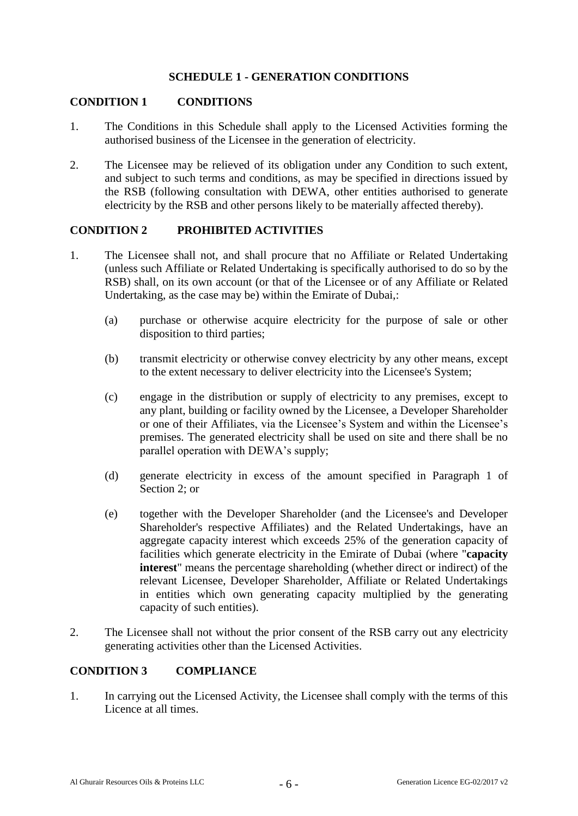## **SCHEDULE 1 - GENERATION CONDITIONS**

#### **CONDITION 1 CONDITIONS**

- 1. The Conditions in this Schedule shall apply to the Licensed Activities forming the authorised business of the Licensee in the generation of electricity.
- 2. The Licensee may be relieved of its obligation under any Condition to such extent, and subject to such terms and conditions, as may be specified in directions issued by the RSB (following consultation with DEWA, other entities authorised to generate electricity by the RSB and other persons likely to be materially affected thereby).

#### **CONDITION 2 PROHIBITED ACTIVITIES**

- 1. The Licensee shall not, and shall procure that no Affiliate or Related Undertaking (unless such Affiliate or Related Undertaking is specifically authorised to do so by the RSB) shall, on its own account (or that of the Licensee or of any Affiliate or Related Undertaking, as the case may be) within the Emirate of Dubai,:
	- (a) purchase or otherwise acquire electricity for the purpose of sale or other disposition to third parties;
	- (b) transmit electricity or otherwise convey electricity by any other means, except to the extent necessary to deliver electricity into the Licensee's System;
	- (c) engage in the distribution or supply of electricity to any premises, except to any plant, building or facility owned by the Licensee, a Developer Shareholder or one of their Affiliates, via the Licensee's System and within the Licensee's premises. The generated electricity shall be used on site and there shall be no parallel operation with DEWA's supply;
	- (d) generate electricity in excess of the amount specified in Paragraph 1 of Section 2; or
	- (e) together with the Developer Shareholder (and the Licensee's and Developer Shareholder's respective Affiliates) and the Related Undertakings, have an aggregate capacity interest which exceeds 25% of the generation capacity of facilities which generate electricity in the Emirate of Dubai (where "**capacity interest**" means the percentage shareholding (whether direct or indirect) of the relevant Licensee, Developer Shareholder, Affiliate or Related Undertakings in entities which own generating capacity multiplied by the generating capacity of such entities).
- 2. The Licensee shall not without the prior consent of the RSB carry out any electricity generating activities other than the Licensed Activities.

#### **CONDITION 3 COMPLIANCE**

1. In carrying out the Licensed Activity, the Licensee shall comply with the terms of this Licence at all times.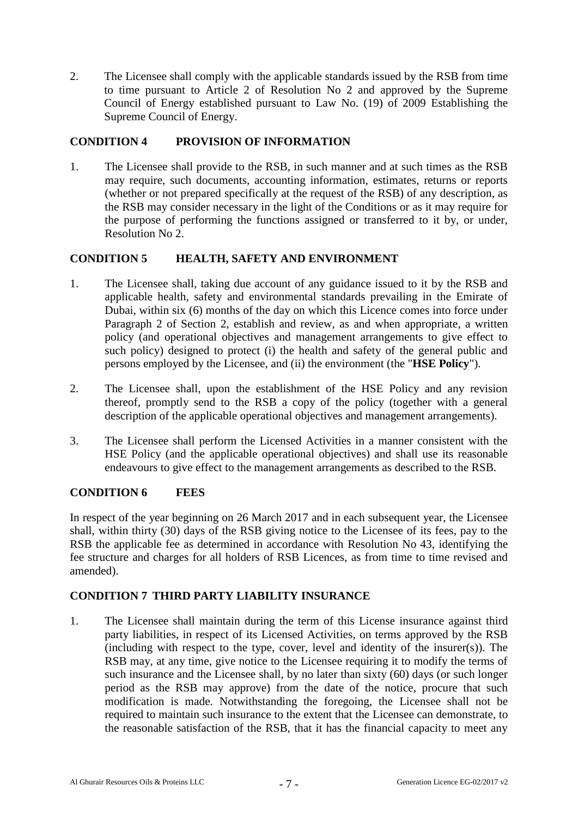2. The Licensee shall comply with the applicable standards issued by the RSB from time to time pursuant to Article 2 of Resolution No 2 and approved by the Supreme Council of Energy established pursuant to Law No. (19) of 2009 Establishing the Supreme Council of Energy.

## **CONDITION 4 PROVISION OF INFORMATION**

1. The Licensee shall provide to the RSB, in such manner and at such times as the RSB may require, such documents, accounting information, estimates, returns or reports (whether or not prepared specifically at the request of the RSB) of any description, as the RSB may consider necessary in the light of the Conditions or as it may require for the purpose of performing the functions assigned or transferred to it by, or under, Resolution No 2.

## **CONDITION 5 HEALTH, SAFETY AND ENVIRONMENT**

- 1. The Licensee shall, taking due account of any guidance issued to it by the RSB and applicable health, safety and environmental standards prevailing in the Emirate of Dubai, within six (6) months of the day on which this Licence comes into force under Paragraph 2 of Section 2, establish and review, as and when appropriate, a written policy (and operational objectives and management arrangements to give effect to such policy) designed to protect (i) the health and safety of the general public and persons employed by the Licensee, and (ii) the environment (the "**HSE Policy**").
- 2. The Licensee shall, upon the establishment of the HSE Policy and any revision thereof, promptly send to the RSB a copy of the policy (together with a general description of the applicable operational objectives and management arrangements).
- 3. The Licensee shall perform the Licensed Activities in a manner consistent with the HSE Policy (and the applicable operational objectives) and shall use its reasonable endeavours to give effect to the management arrangements as described to the RSB.

## **CONDITION 6 FEES**

In respect of the year beginning on 26 March 2017 and in each subsequent year, the Licensee shall, within thirty (30) days of the RSB giving notice to the Licensee of its fees, pay to the RSB the applicable fee as determined in accordance with Resolution No 43, identifying the fee structure and charges for all holders of RSB Licences, as from time to time revised and amended).

## **CONDITION 7 THIRD PARTY LIABILITY INSURANCE**

1. The Licensee shall maintain during the term of this License insurance against third party liabilities, in respect of its Licensed Activities, on terms approved by the RSB (including with respect to the type, cover, level and identity of the insurer(s)). The RSB may, at any time, give notice to the Licensee requiring it to modify the terms of such insurance and the Licensee shall, by no later than sixty (60) days (or such longer period as the RSB may approve) from the date of the notice, procure that such modification is made. Notwithstanding the foregoing, the Licensee shall not be required to maintain such insurance to the extent that the Licensee can demonstrate, to the reasonable satisfaction of the RSB, that it has the financial capacity to meet any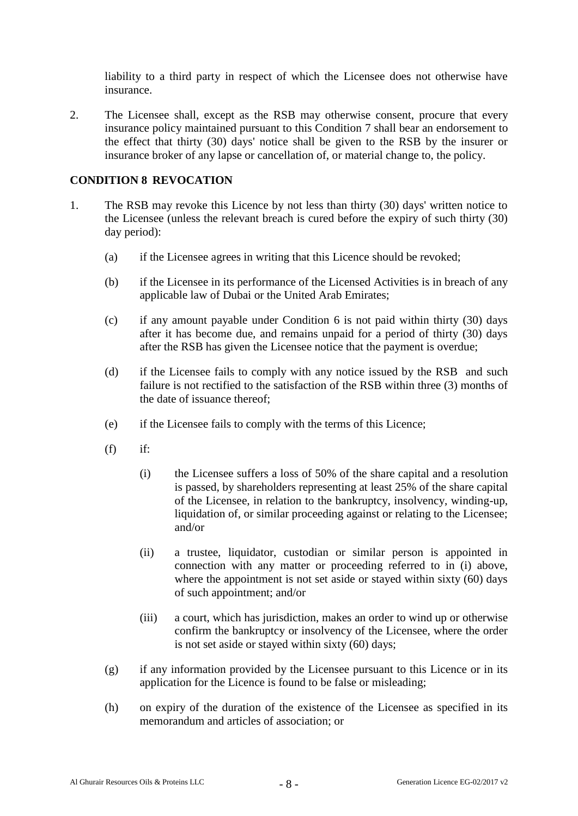liability to a third party in respect of which the Licensee does not otherwise have insurance.

2. The Licensee shall, except as the RSB may otherwise consent, procure that every insurance policy maintained pursuant to this Condition 7 shall bear an endorsement to the effect that thirty (30) days' notice shall be given to the RSB by the insurer or insurance broker of any lapse or cancellation of, or material change to, the policy.

## **CONDITION 8 REVOCATION**

- 1. The RSB may revoke this Licence by not less than thirty (30) days' written notice to the Licensee (unless the relevant breach is cured before the expiry of such thirty (30) day period):
	- (a) if the Licensee agrees in writing that this Licence should be revoked;
	- (b) if the Licensee in its performance of the Licensed Activities is in breach of any applicable law of Dubai or the United Arab Emirates;
	- (c) if any amount payable under Condition 6 is not paid within thirty (30) days after it has become due, and remains unpaid for a period of thirty (30) days after the RSB has given the Licensee notice that the payment is overdue;
	- (d) if the Licensee fails to comply with any notice issued by the RSB and such failure is not rectified to the satisfaction of the RSB within three (3) months of the date of issuance thereof;
	- (e) if the Licensee fails to comply with the terms of this Licence;
	- $(f)$  if:
		- (i) the Licensee suffers a loss of 50% of the share capital and a resolution is passed, by shareholders representing at least 25% of the share capital of the Licensee, in relation to the bankruptcy, insolvency, winding-up, liquidation of, or similar proceeding against or relating to the Licensee; and/or
		- (ii) a trustee, liquidator, custodian or similar person is appointed in connection with any matter or proceeding referred to in (i) above, where the appointment is not set aside or stayed within sixty (60) days of such appointment; and/or
		- (iii) a court, which has jurisdiction, makes an order to wind up or otherwise confirm the bankruptcy or insolvency of the Licensee, where the order is not set aside or stayed within sixty (60) days;
	- (g) if any information provided by the Licensee pursuant to this Licence or in its application for the Licence is found to be false or misleading;
	- (h) on expiry of the duration of the existence of the Licensee as specified in its memorandum and articles of association; or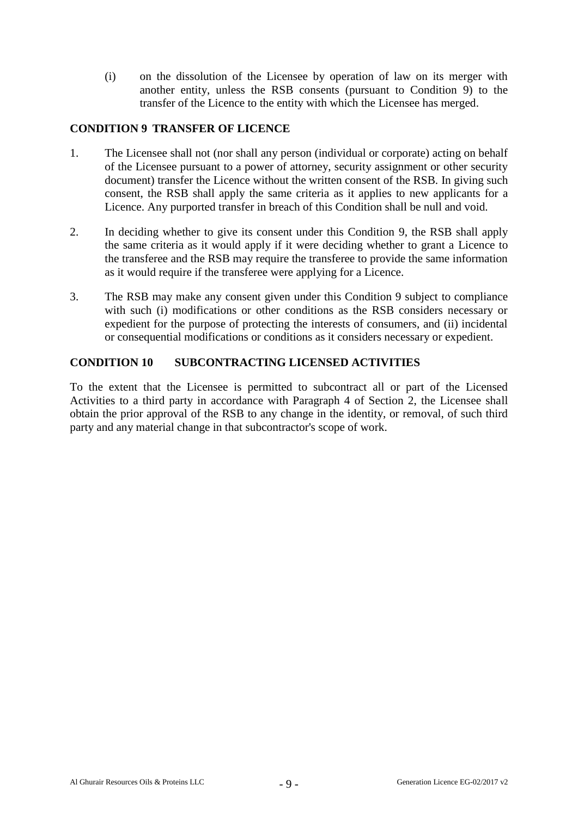(i) on the dissolution of the Licensee by operation of law on its merger with another entity, unless the RSB consents (pursuant to Condition 9) to the transfer of the Licence to the entity with which the Licensee has merged.

## **CONDITION 9 TRANSFER OF LICENCE**

- 1. The Licensee shall not (nor shall any person (individual or corporate) acting on behalf of the Licensee pursuant to a power of attorney, security assignment or other security document) transfer the Licence without the written consent of the RSB. In giving such consent, the RSB shall apply the same criteria as it applies to new applicants for a Licence. Any purported transfer in breach of this Condition shall be null and void.
- 2. In deciding whether to give its consent under this Condition 9, the RSB shall apply the same criteria as it would apply if it were deciding whether to grant a Licence to the transferee and the RSB may require the transferee to provide the same information as it would require if the transferee were applying for a Licence.
- 3. The RSB may make any consent given under this Condition 9 subject to compliance with such (i) modifications or other conditions as the RSB considers necessary or expedient for the purpose of protecting the interests of consumers, and (ii) incidental or consequential modifications or conditions as it considers necessary or expedient.

## **CONDITION 10 SUBCONTRACTING LICENSED ACTIVITIES**

To the extent that the Licensee is permitted to subcontract all or part of the Licensed Activities to a third party in accordance with Paragraph 4 of Section 2, the Licensee shall obtain the prior approval of the RSB to any change in the identity, or removal, of such third party and any material change in that subcontractor's scope of work.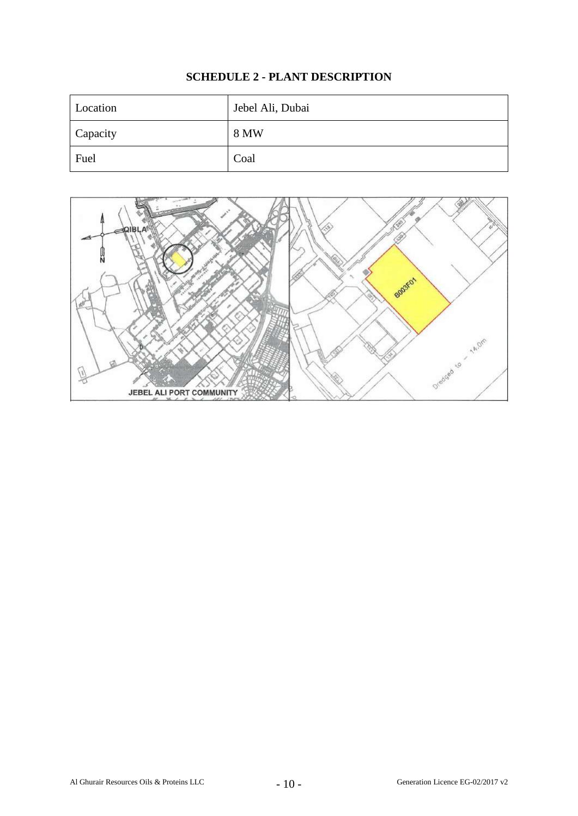# **SCHEDULE 2 - PLANT DESCRIPTION**

| Location | Jebel Ali, Dubai |
|----------|------------------|
| Capacity | 8 MW             |
| Fuel     | Coal             |